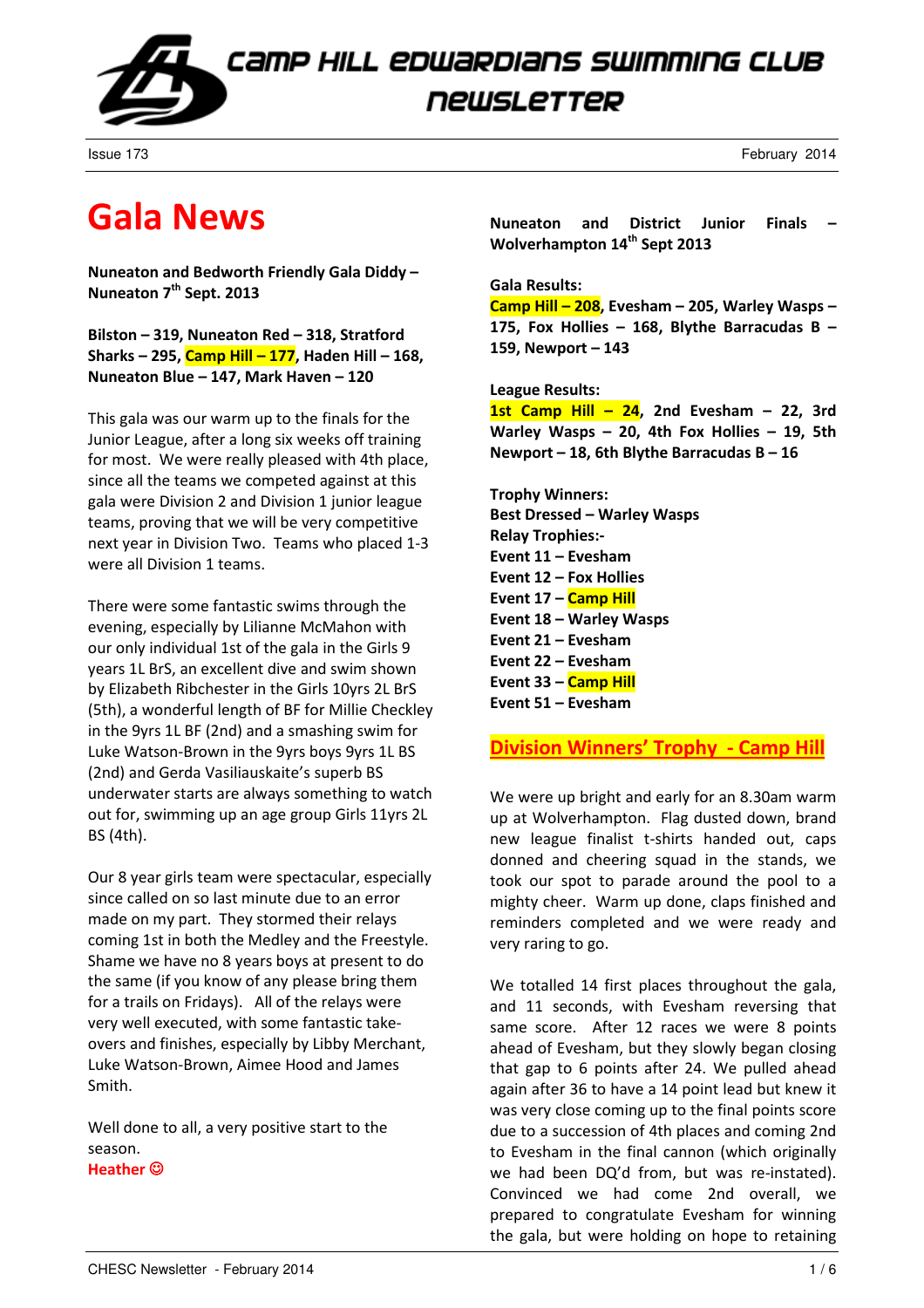

Issue 173 February 2014

### Gala News

Nuneaton and Bedworth Friendly Gala Diddy – Nuneaton 7<sup>th</sup> Sept. 2013

Bilston – 319, Nuneaton Red – 318, Stratford Sharks – 295, Camp Hill – 177, Haden Hill – 168, Nuneaton Blue – 147, Mark Haven – 120

This gala was our warm up to the finals for the Junior League, after a long six weeks off training for most. We were really pleased with 4th place, since all the teams we competed against at this gala were Division 2 and Division 1 junior league teams, proving that we will be very competitive next year in Division Two. Teams who placed 1-3 were all Division 1 teams.

There were some fantastic swims through the evening, especially by Lilianne McMahon with our only individual 1st of the gala in the Girls 9 years 1L BrS, an excellent dive and swim shown by Elizabeth Ribchester in the Girls 10yrs 2L BrS (5th), a wonderful length of BF for Millie Checkley in the 9yrs 1L BF (2nd) and a smashing swim for Luke Watson-Brown in the 9yrs boys 9yrs 1L BS (2nd) and Gerda Vasiliauskaite's superb BS underwater starts are always something to watch out for, swimming up an age group Girls 11yrs 2L BS (4th).

Our 8 year girls team were spectacular, especially since called on so last minute due to an error made on my part. They stormed their relays coming 1st in both the Medley and the Freestyle. Shame we have no 8 years boys at present to do the same (if you know of any please bring them for a trails on Fridays). All of the relays were very well executed, with some fantastic takeovers and finishes, especially by Libby Merchant, Luke Watson-Brown, Aimee Hood and James Smith.

Well done to all, a very positive start to the season. Heather ©

Nuneaton and District Junior Finals – Wolverhampton 14<sup>th</sup> Sept 2013

### Gala Results:

Camp Hill – 208, Evesham – 205, Warley Wasps – 175, Fox Hollies – 168, Blythe Barracudas B – 159, Newport – 143

### League Results:

1st Camp Hill  $-$  24, 2nd Evesham  $-$  22, 3rd Warley Wasps – 20, 4th Fox Hollies – 19, 5th Newport – 18, 6th Blythe Barracudas  $B - 16$ 

Trophy Winners: Best Dressed – Warley Wasps Relay Trophies:- Event 11 – Evesham Event 12 – Fox Hollies Event 17 – Camp Hill Event 18 – Warley Wasps Event 21 – Evesham Event 22 – Evesham Event 33 – Camp Hill Event 51 – Evesham

Division Winners' Trophy - Camp Hill

We were up bright and early for an 8.30am warm up at Wolverhampton. Flag dusted down, brand new league finalist t-shirts handed out, caps donned and cheering squad in the stands, we took our spot to parade around the pool to a mighty cheer. Warm up done, claps finished and reminders completed and we were ready and very raring to go.

We totalled 14 first places throughout the gala, and 11 seconds, with Evesham reversing that same score. After 12 races we were 8 points ahead of Evesham, but they slowly began closing that gap to 6 points after 24. We pulled ahead again after 36 to have a 14 point lead but knew it was very close coming up to the final points score due to a succession of 4th places and coming 2nd to Evesham in the final cannon (which originally we had been DQ'd from, but was re-instated). Convinced we had come 2nd overall, we prepared to congratulate Evesham for winning the gala, but were holding on hope to retaining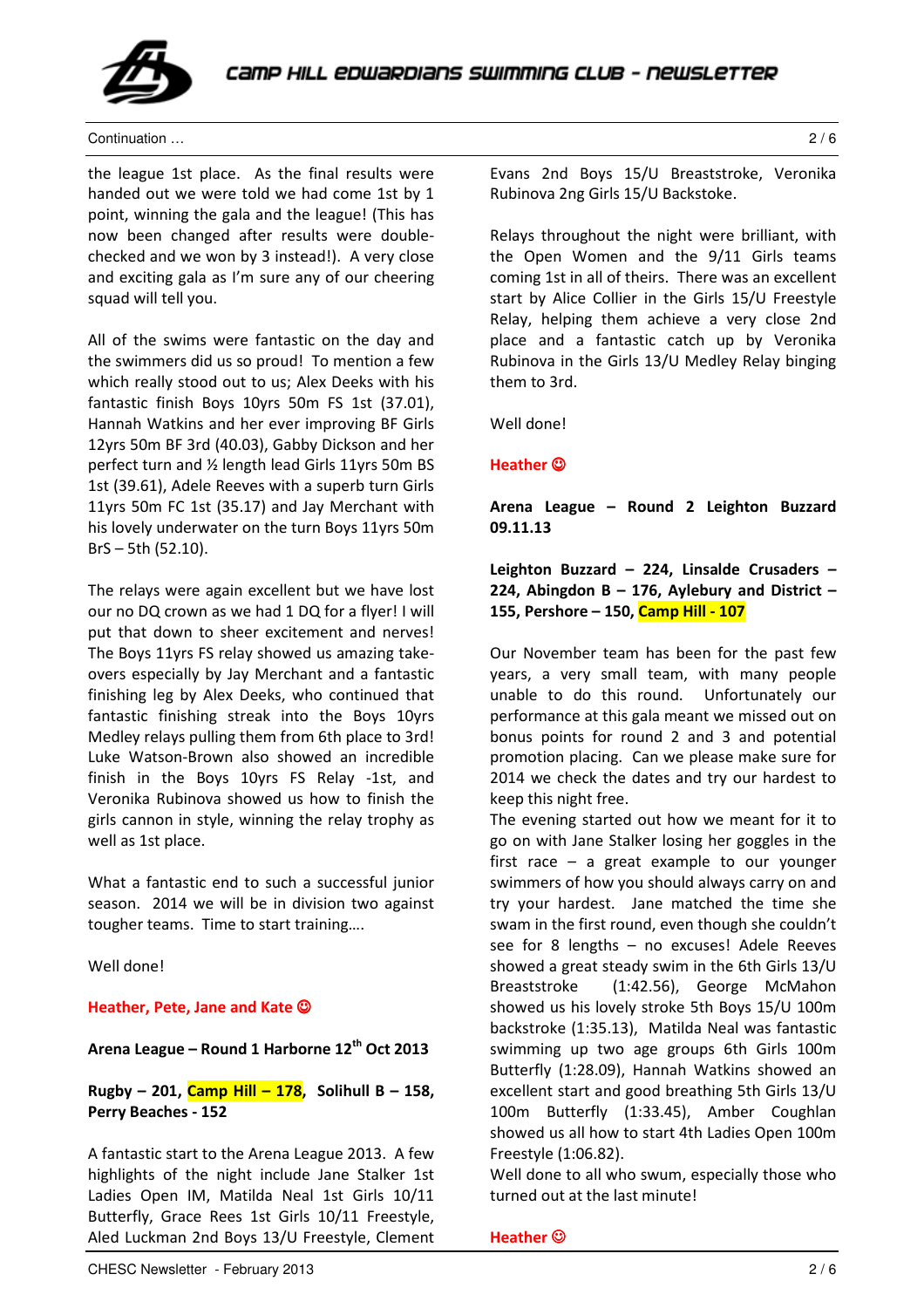

Continuation … 2 / 6

the league 1st place. As the final results were handed out we were told we had come 1st by 1 point, winning the gala and the league! (This has now been changed after results were doublechecked and we won by 3 instead!). A very close and exciting gala as I'm sure any of our cheering squad will tell you.

All of the swims were fantastic on the day and the swimmers did us so proud! To mention a few which really stood out to us; Alex Deeks with his fantastic finish Boys 10yrs 50m FS 1st (37.01), Hannah Watkins and her ever improving BF Girls 12yrs 50m BF 3rd (40.03), Gabby Dickson and her perfect turn and ½ length lead Girls 11yrs 50m BS 1st (39.61), Adele Reeves with a superb turn Girls 11yrs 50m FC 1st (35.17) and Jay Merchant with his lovely underwater on the turn Boys 11yrs 50m BrS – 5th (52.10).

The relays were again excellent but we have lost our no DQ crown as we had 1 DQ for a flyer! I will put that down to sheer excitement and nerves! The Boys 11yrs FS relay showed us amazing takeovers especially by Jay Merchant and a fantastic finishing leg by Alex Deeks, who continued that fantastic finishing streak into the Boys 10yrs Medley relays pulling them from 6th place to 3rd! Luke Watson-Brown also showed an incredible finish in the Boys 10yrs FS Relay -1st, and Veronika Rubinova showed us how to finish the girls cannon in style, winning the relay trophy as well as 1st place.

What a fantastic end to such a successful junior season. 2014 we will be in division two against tougher teams. Time to start training….

Well done!

### Heather, Pete, Jane and Kate  $\odot$

Arena League – Round 1 Harborne 12<sup>th</sup> Oct 2013

Rugby – 201, Camp Hill – 178, Solihull B – 158, Perry Beaches - 152

A fantastic start to the Arena League 2013. A few highlights of the night include Jane Stalker 1st Ladies Open IM, Matilda Neal 1st Girls 10/11 Butterfly, Grace Rees 1st Girls 10/11 Freestyle, Aled Luckman 2nd Boys 13/U Freestyle, Clement Evans 2nd Boys 15/U Breaststroke, Veronika Rubinova 2ng Girls 15/U Backstoke.

Relays throughout the night were brilliant, with the Open Women and the 9/11 Girls teams coming 1st in all of theirs. There was an excellent start by Alice Collier in the Girls 15/U Freestyle Relay, helping them achieve a very close 2nd place and a fantastic catch up by Veronika Rubinova in the Girls 13/U Medley Relay binging them to 3rd.

Well done!

Heather  $@$ 

### Arena League – Round 2 Leighton Buzzard 09.11.13

Leighton Buzzard – 224, Linsalde Crusaders – 224, Abingdon B - 176, Aylebury and District -155, Pershore - 150, Camp Hill - 107

Our November team has been for the past few years, a very small team, with many people unable to do this round. Unfortunately our performance at this gala meant we missed out on bonus points for round 2 and 3 and potential promotion placing. Can we please make sure for 2014 we check the dates and try our hardest to keep this night free.

The evening started out how we meant for it to go on with Jane Stalker losing her goggles in the first race – a great example to our younger swimmers of how you should always carry on and try your hardest. Jane matched the time she swam in the first round, even though she couldn't see for 8 lengths – no excuses! Adele Reeves showed a great steady swim in the 6th Girls 13/U Breaststroke (1:42.56), George McMahon showed us his lovely stroke 5th Boys 15/U 100m backstroke (1:35.13), Matilda Neal was fantastic swimming up two age groups 6th Girls 100m Butterfly (1:28.09), Hannah Watkins showed an excellent start and good breathing 5th Girls 13/U 100m Butterfly (1:33.45), Amber Coughlan showed us all how to start 4th Ladies Open 100m Freestyle (1:06.82).

Well done to all who swum, especially those who turned out at the last minute!

Heather  $@$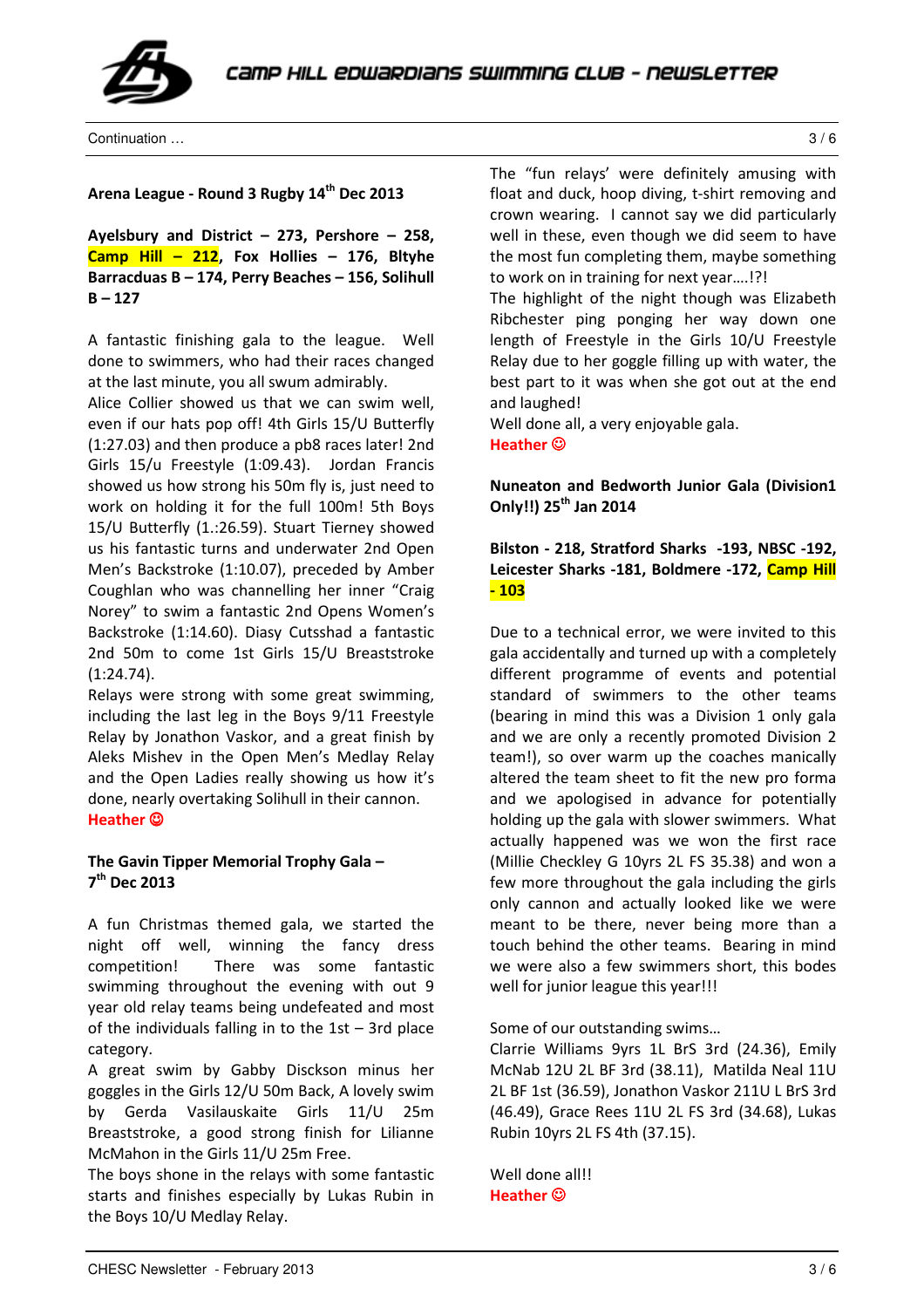

Continuation … 3 / 6

#### Arena League - Round 3 Rugby 14<sup>th</sup> Dec 2013

Ayelsbury and District – 273, Pershore – 258, Camp Hill  $-$  212, Fox Hollies  $-$  176, Bltyhe Barracduas B – 174, Perry Beaches – 156, Solihull  $B - 127$ 

A fantastic finishing gala to the league. Well done to swimmers, who had their races changed at the last minute, you all swum admirably.

Alice Collier showed us that we can swim well, even if our hats pop off! 4th Girls 15/U Butterfly (1:27.03) and then produce a pb8 races later! 2nd Girls 15/u Freestyle (1:09.43). Jordan Francis showed us how strong his 50m fly is, just need to work on holding it for the full 100m! 5th Boys 15/U Butterfly (1.:26.59). Stuart Tierney showed us his fantastic turns and underwater 2nd Open Men's Backstroke (1:10.07), preceded by Amber Coughlan who was channelling her inner "Craig Norey" to swim a fantastic 2nd Opens Women's Backstroke (1:14.60). Diasy Cutsshad a fantastic 2nd 50m to come 1st Girls 15/U Breaststroke (1:24.74).

Relays were strong with some great swimming, including the last leg in the Boys 9/11 Freestyle Relay by Jonathon Vaskor, and a great finish by Aleks Mishev in the Open Men's Medlay Relay and the Open Ladies really showing us how it's done, nearly overtaking Solihull in their cannon. Heather ☺

### The Gavin Tipper Memorial Trophy Gala – 7<sup>th</sup> Dec 2013

A fun Christmas themed gala, we started the night off well, winning the fancy dress competition! There was some fantastic swimming throughout the evening with out 9 year old relay teams being undefeated and most of the individuals falling in to the 1st – 3rd place category.

A great swim by Gabby Disckson minus her goggles in the Girls 12/U 50m Back, A lovely swim by Gerda Vasilauskaite Girls 11/U 25m Breaststroke, a good strong finish for Lilianne McMahon in the Girls 11/U 25m Free.

The boys shone in the relays with some fantastic starts and finishes especially by Lukas Rubin in the Boys 10/U Medlay Relay.

The "fun relays' were definitely amusing with float and duck, hoop diving, t-shirt removing and crown wearing. I cannot say we did particularly well in these, even though we did seem to have the most fun completing them, maybe something to work on in training for next year….!?!

The highlight of the night though was Elizabeth Ribchester ping ponging her way down one length of Freestyle in the Girls 10/U Freestyle Relay due to her goggle filling up with water, the best part to it was when she got out at the end and laughed!

Well done all, a very enjoyable gala.

Heather ☺

Nuneaton and Bedworth Junior Gala (Division1 Only!!) 25<sup>th</sup> Jan 2014

### Bilston - 218, Stratford Sharks -193, NBSC -192, Leicester Sharks -181, Boldmere -172, Camp Hill - 103

Due to a technical error, we were invited to this gala accidentally and turned up with a completely different programme of events and potential standard of swimmers to the other teams (bearing in mind this was a Division 1 only gala and we are only a recently promoted Division 2 team!), so over warm up the coaches manically altered the team sheet to fit the new pro forma and we apologised in advance for potentially holding up the gala with slower swimmers. What actually happened was we won the first race (Millie Checkley G 10yrs 2L FS 35.38) and won a few more throughout the gala including the girls only cannon and actually looked like we were meant to be there, never being more than a touch behind the other teams. Bearing in mind we were also a few swimmers short, this bodes well for junior league this year!!!

Some of our outstanding swims…

Clarrie Williams 9yrs 1L BrS 3rd (24.36), Emily McNab 12U 2L BF 3rd (38.11), Matilda Neal 11U 2L BF 1st (36.59), Jonathon Vaskor 211U L BrS 3rd (46.49), Grace Rees 11U 2L FS 3rd (34.68), Lukas Rubin 10yrs 2L FS 4th (37.15).

Well done all!! Heather ☺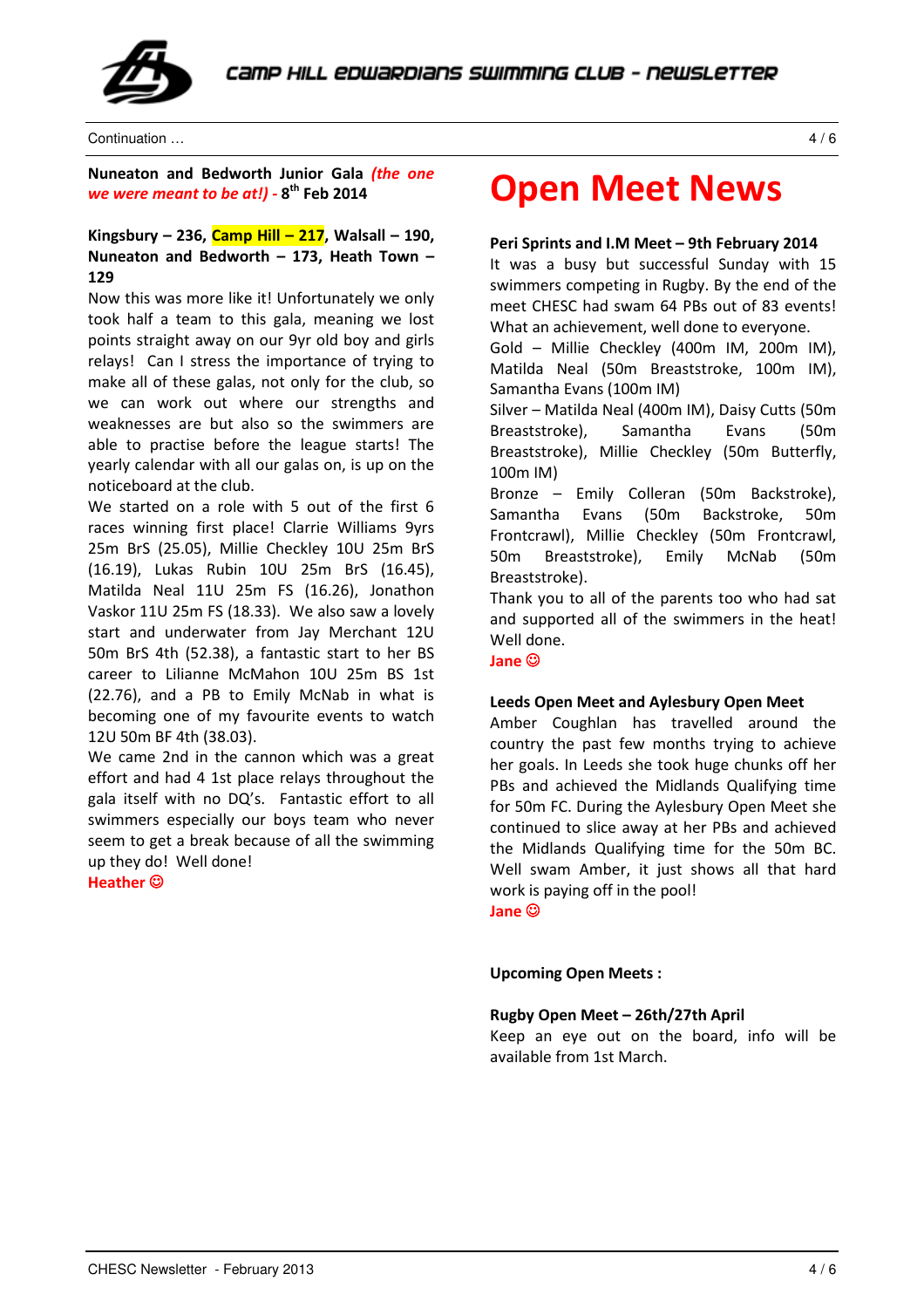

Continuation … 4 / 6

Nuneaton and Bedworth Junior Gala (the one we were meant to be at!) - 8<sup>th</sup> Feb 2014

### Kingsbury – 236, Camp Hill – 217, Walsall – 190, Nuneaton and Bedworth – 173, Heath Town – 129

Now this was more like it! Unfortunately we only took half a team to this gala, meaning we lost points straight away on our 9yr old boy and girls relays! Can I stress the importance of trying to make all of these galas, not only for the club, so we can work out where our strengths and weaknesses are but also so the swimmers are able to practise before the league starts! The yearly calendar with all our galas on, is up on the noticeboard at the club.

We started on a role with 5 out of the first 6 races winning first place! Clarrie Williams 9yrs 25m BrS (25.05), Millie Checkley 10U 25m BrS (16.19), Lukas Rubin 10U 25m BrS (16.45), Matilda Neal 11U 25m FS (16.26), Jonathon Vaskor 11U 25m FS (18.33). We also saw a lovely start and underwater from Jay Merchant 12U 50m BrS 4th (52.38), a fantastic start to her BS career to Lilianne McMahon 10U 25m BS 1st (22.76), and a PB to Emily McNab in what is becoming one of my favourite events to watch 12U 50m BF 4th (38.03).

We came 2nd in the cannon which was a great effort and had 4 1st place relays throughout the gala itself with no DQ's. Fantastic effort to all swimmers especially our boys team who never seem to get a break because of all the swimming up they do! Well done!

Heather ©

### Open Meet News

### Peri Sprints and I.M Meet – 9th February 2014

It was a busy but successful Sunday with 15 swimmers competing in Rugby. By the end of the meet CHESC had swam 64 PBs out of 83 events! What an achievement, well done to everyone.

Gold – Millie Checkley (400m IM, 200m IM), Matilda Neal (50m Breaststroke, 100m IM), Samantha Evans (100m IM)

Silver – Matilda Neal (400m IM), Daisy Cutts (50m Breaststroke), Samantha Evans (50m Breaststroke), Millie Checkley (50m Butterfly, 100m IM)

Bronze – Emily Colleran (50m Backstroke), Samantha Evans (50m Backstroke, 50m Frontcrawl), Millie Checkley (50m Frontcrawl, 50m Breaststroke), Emily McNab (50m Breaststroke).

Thank you to all of the parents too who had sat and supported all of the swimmers in the heat! Well done.

Jane ☺

### Leeds Open Meet and Aylesbury Open Meet

Amber Coughlan has travelled around the country the past few months trying to achieve her goals. In Leeds she took huge chunks off her PBs and achieved the Midlands Qualifying time for 50m FC. During the Aylesbury Open Meet she continued to slice away at her PBs and achieved the Midlands Qualifying time for the 50m BC. Well swam Amber, it just shows all that hard work is paying off in the pool! Jane ☺

Upcoming Open Meets :

### Rugby Open Meet – 26th/27th April

Keep an eye out on the board, info will be available from 1st March.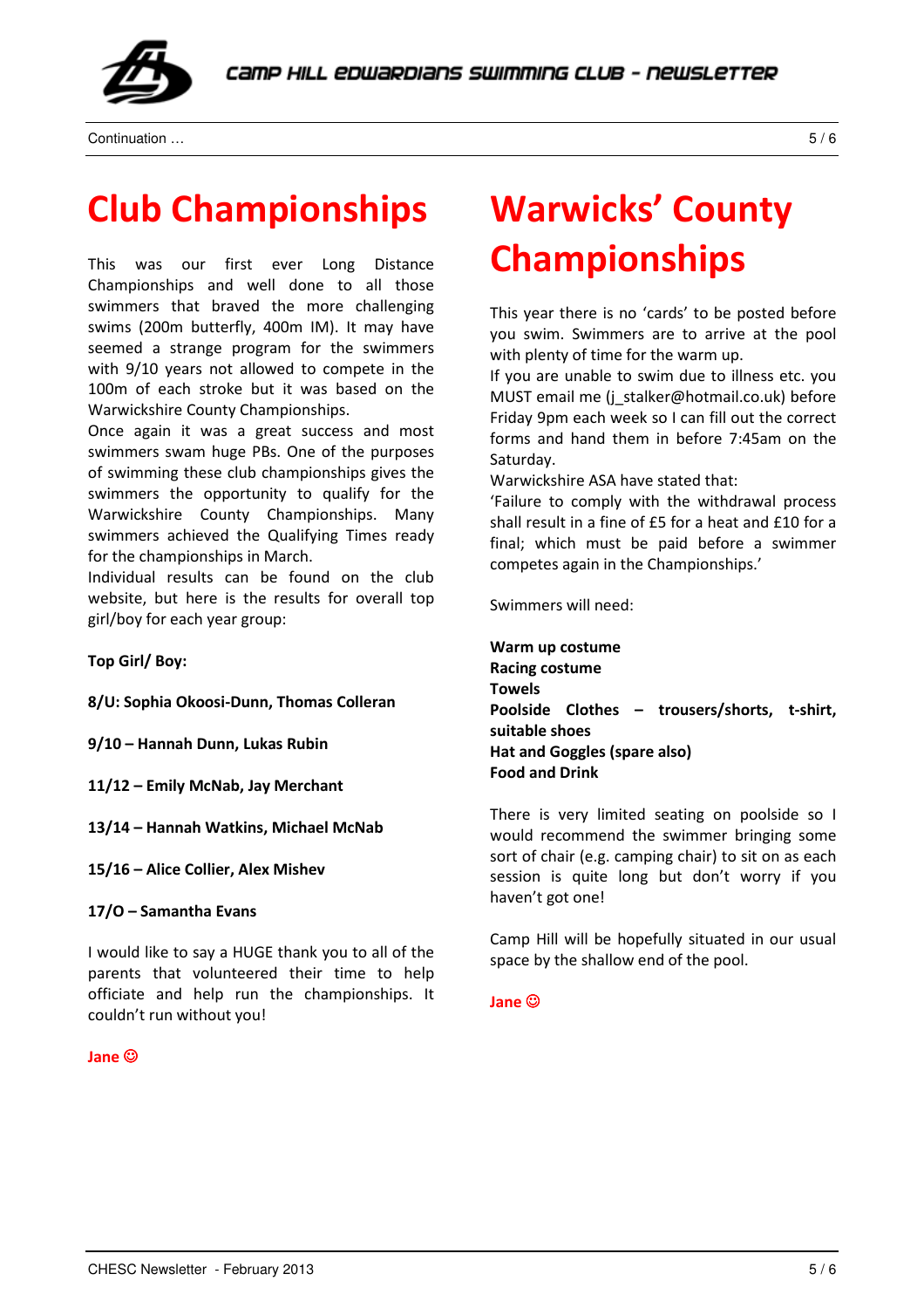

Continuation … 5 / 6

## Club Championships

This was our first ever Long Distance Championships and well done to all those swimmers that braved the more challenging swims (200m butterfly, 400m IM). It may have seemed a strange program for the swimmers with 9/10 years not allowed to compete in the 100m of each stroke but it was based on the Warwickshire County Championships.

Once again it was a great success and most swimmers swam huge PBs. One of the purposes of swimming these club championships gives the swimmers the opportunity to qualify for the Warwickshire County Championships. Many swimmers achieved the Qualifying Times ready for the championships in March.

Individual results can be found on the club website, but here is the results for overall top girl/boy for each year group:

Top Girl/ Boy:

8/U: Sophia Okoosi-Dunn, Thomas Colleran

9/10 – Hannah Dunn, Lukas Rubin

11/12 – Emily McNab, Jay Merchant

13/14 – Hannah Watkins, Michael McNab

15/16 – Alice Collier, Alex Mishev

17/O – Samantha Evans

I would like to say a HUGE thank you to all of the parents that volunteered their time to help officiate and help run the championships. It couldn't run without you!

### Jane ☺

## Warwicks' County Championships

This year there is no 'cards' to be posted before you swim. Swimmers are to arrive at the pool with plenty of time for the warm up.

If you are unable to swim due to illness etc. you MUST email me (j\_stalker@hotmail.co.uk) before Friday 9pm each week so I can fill out the correct forms and hand them in before 7:45am on the Saturday.

Warwickshire ASA have stated that:

'Failure to comply with the withdrawal process shall result in a fine of £5 for a heat and £10 for a final; which must be paid before a swimmer competes again in the Championships.'

Swimmers will need:

Warm up costume Racing costume Towels Poolside Clothes – trousers/shorts, t-shirt, suitable shoes Hat and Goggles (spare also) Food and Drink

There is very limited seating on poolside so I would recommend the swimmer bringing some sort of chair (e.g. camping chair) to sit on as each session is quite long but don't worry if you haven't got one!

Camp Hill will be hopefully situated in our usual space by the shallow end of the pool.

### Jane ☺